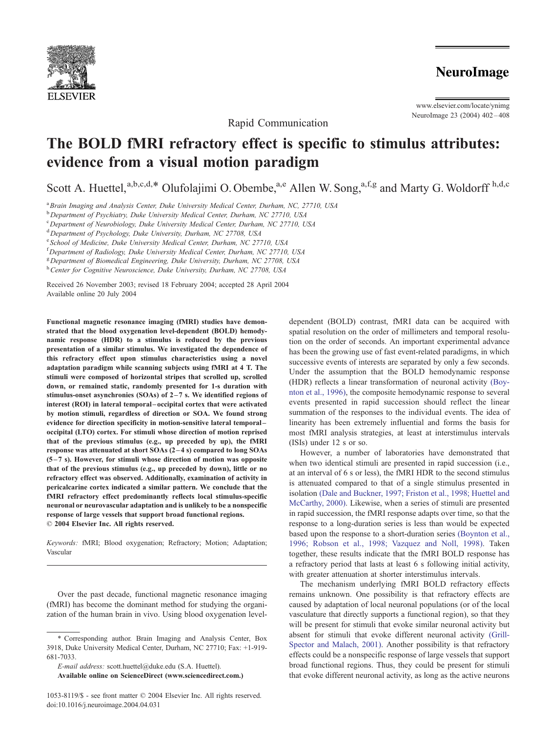

www.elsevier.com/locate/ynimg NeuroImage 23 (2004) 402 – 408

Rapid Communication

# The BOLD fMRI refractory effect is specific to stimulus attributes: evidence from a visual motion paradigm

Scott A. Huettel,<sup>a,b,c,d,\*</sup> Olufolajimi O. Obembe,<sup>a,e</sup> Allen W. Song, $a, f, g$  and Marty G. Woldorff h,d,c

<sup>a</sup> Brain Imaging and Analysis Center, Duke University Medical Center, Durham, NC, 27710, USA

<sup>b</sup> Department of Psychiatry, Duke University Medical Center, Durham, NC 27710, USA

<sup>c</sup> Department of Neurobiology, Duke University Medical Center, Durham, NC 27710, USA

<sup>d</sup>Department of Psychology, Duke University, Durham, NC 27708, USA

<sup>e</sup> School of Medicine, Duke University Medical Center, Durham, NC 27710, USA

<sup>f</sup> Department of Radiology, Duke University Medical Center, Durham, NC 27710, USA

<sup>g</sup> Department of Biomedical Engineering, Duke University, Durham, NC 27708, USA

h Center for Cognitive Neuroscience, Duke University, Durham, NC 27708, USA

Received 26 November 2003; revised 18 February 2004; accepted 28 April 2004 Available online 20 July 2004

Functional magnetic resonance imaging (fMRI) studies have demonstrated that the blood oxygenation level-dependent (BOLD) hemodynamic response (HDR) to a stimulus is reduced by the previous presentation of a similar stimulus. We investigated the dependence of this refractory effect upon stimulus characteristics using a novel adaptation paradigm while scanning subjects using fMRI at 4 T. The stimuli were composed of horizontal stripes that scrolled up, scrolled down, or remained static, randomly presented for 1-s duration with stimulus-onset asynchronies (SOAs) of  $2-7$  s. We identified regions of interest (ROI) in lateral temporal – occipital cortex that were activated by motion stimuli, regardless of direction or SOA. We found strong evidence for direction specificity in motion-sensitive lateral temporal – occipital (LTO) cortex. For stimuli whose direction of motion reprised that of the previous stimulus (e.g., up preceded by up), the fMRI response was attenuated at short SOAs (2 – 4 s) compared to long SOAs  $(5-7 s)$ . However, for stimuli whose direction of motion was opposite that of the previous stimulus (e.g., up preceded by down), little or no refractory effect was observed. Additionally, examination of activity in pericalcarine cortex indicated a similar pattern. We conclude that the fMRI refractory effect predominantly reflects local stimulus-specific neuronal or neurovascular adaptation and is unlikely to be a nonspecific response of large vessels that support broad functional regions.  $© 2004 Elsevier Inc. All rights reserved.$ 

Keywords: fMRI; Blood oxygenation; Refractory; Motion; Adaptation; Vascular

Over the past decade, functional magnetic resonance imaging (fMRI) has become the dominant method for studying the organization of the human brain in vivo. Using blood oxygenation level-

E-mail address: scott.huettel@duke.edu (S.A. Huettel).

Available online on ScienceDirect (www.sciencedirect.com.)

dependent (BOLD) contrast, fMRI data can be acquired with spatial resolution on the order of millimeters and temporal resolution on the order of seconds. An important experimental advance has been the growing use of fast event-related paradigms, in which successive events of interests are separated by only a few seconds. Under the assumption that the BOLD hemodynamic response (HDR) reflects a linear transformation of neuronal activity [\(Boy](#page-5-0)nton et al., 1996), the composite hemodynamic response to several events presented in rapid succession should reflect the linear summation of the responses to the individual events. The idea of linearity has been extremely influential and forms the basis for most fMRI analysis strategies, at least at interstimulus intervals (ISIs) under 12 s or so.

However, a number of laboratories have demonstrated that when two identical stimuli are presented in rapid succession (i.e., at an interval of 6 s or less), the fMRI HDR to the second stimulus is attenuated compared to that of a single stimulus presented in isolation [\(Dale and Buckner, 1997; Friston et al., 1998; Huettel and](#page-5-0) McCarthy, 2000). Likewise, when a series of stimuli are presented in rapid succession, the fMRI response adapts over time, so that the response to a long-duration series is less than would be expected based upon the response to a short-duration series [\(Boynton et al.,](#page-5-0) 1996; Robson et al., 1998; Vazquez and Noll, 1998). Taken together, these results indicate that the fMRI BOLD response has a refractory period that lasts at least 6 s following initial activity, with greater attenuation at shorter interstimulus intervals.

The mechanism underlying fMRI BOLD refractory effects remains unknown. One possibility is that refractory effects are caused by adaptation of local neuronal populations (or of the local vasculature that directly supports a functional region), so that they will be present for stimuli that evoke similar neuronal activity but absent for stimuli that evoke different neuronal activity [\(Grill-](#page-5-0)Spector and Malach, 2001). Another possibility is that refractory effects could be a nonspecific response of large vessels that support broad functional regions. Thus, they could be present for stimuli that evoke different neuronal activity, as long as the active neurons

<sup>\*</sup> Corresponding author. Brain Imaging and Analysis Center, Box 3918, Duke University Medical Center, Durham, NC 27710; Fax: +1-919- 681-7033.

<sup>1053-8119/\$ -</sup> see front matter © 2004 Elsevier Inc. All rights reserved. doi:10.1016/j.neuroimage.2004.04.031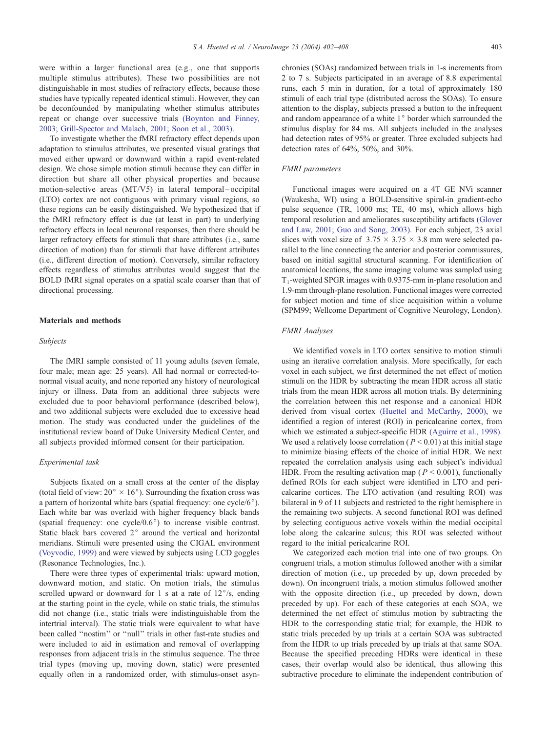were within a larger functional area (e.g., one that supports multiple stimulus attributes). These two possibilities are not distinguishable in most studies of refractory effects, because those studies have typically repeated identical stimuli. However, they can be deconfounded by manipulating whether stimulus attributes repeat or change over successive trials [\(Boynton and Finney,](#page-5-0) 2003; Grill-Spector and Malach, 2001; Soon et al., 2003).

To investigate whether the fMRI refractory effect depends upon adaptation to stimulus attributes, we presented visual gratings that moved either upward or downward within a rapid event-related design. We chose simple motion stimuli because they can differ in direction but share all other physical properties and because motion-selective areas (MT/V5) in lateral temporal – occipital (LTO) cortex are not contiguous with primary visual regions, so these regions can be easily distinguished. We hypothesized that if the fMRI refractory effect is due (at least in part) to underlying refractory effects in local neuronal responses, then there should be larger refractory effects for stimuli that share attributes (i.e., same direction of motion) than for stimuli that have different attributes (i.e., different direction of motion). Conversely, similar refractory effects regardless of stimulus attributes would suggest that the BOLD fMRI signal operates on a spatial scale coarser than that of directional processing.

# Materials and methods

#### Subjects

The fMRI sample consisted of 11 young adults (seven female, four male; mean age: 25 years). All had normal or corrected-tonormal visual acuity, and none reported any history of neurological injury or illness. Data from an additional three subjects were excluded due to poor behavioral performance (described below), and two additional subjects were excluded due to excessive head motion. The study was conducted under the guidelines of the institutional review board of Duke University Medical Center, and all subjects provided informed consent for their participation.

## Experimental task

Subjects fixated on a small cross at the center of the display (total field of view:  $20^{\circ} \times 16^{\circ}$ ). Surrounding the fixation cross was a pattern of horizontal white bars (spatial frequency: one cycle/6 $^{\circ}$ ). Each white bar was overlaid with higher frequency black bands (spatial frequency: one cycle/ $0.6^{\circ}$ ) to increase visible contrast. Static black bars covered  $2^\circ$  around the vertical and horizontal meridians. Stimuli were presented using the CIGAL environment [\(Voyvodic, 1999\)](#page-6-0) and were viewed by subjects using LCD goggles (Resonance Technologies, Inc.).

There were three types of experimental trials: upward motion, downward motion, and static. On motion trials, the stimulus scrolled upward or downward for 1 s at a rate of  $12^{\circ}/s$ , ending at the starting point in the cycle, while on static trials, the stimulus did not change (i.e., static trials were indistinguishable from the intertrial interval). The static trials were equivalent to what have been called ''nostim'' or ''null'' trials in other fast-rate studies and were included to aid in estimation and removal of overlapping responses from adjacent trials in the stimulus sequence. The three trial types (moving up, moving down, static) were presented equally often in a randomized order, with stimulus-onset asynchronies (SOAs) randomized between trials in 1-s increments from 2 to 7 s. Subjects participated in an average of 8.8 experimental runs, each 5 min in duration, for a total of approximately 180 stimuli of each trial type (distributed across the SOAs). To ensure attention to the display, subjects pressed a button to the infrequent and random appearance of a white  $1^{\circ}$  border which surrounded the stimulus display for 84 ms. All subjects included in the analyses had detection rates of 95% or greater. Three excluded subjects had detection rates of 64%, 50%, and 30%.

## FMRI parameters

Functional images were acquired on a 4T GE NVi scanner (Waukesha, WI) using a BOLD-sensitive spiral-in gradient-echo pulse sequence (TR, 1000 ms; TE, 40 ms), which allows high temporal resolution and ameliorates susceptibility artifacts [\(Glover](#page-5-0) and Law, 2001; Guo and Song, 2003). For each subject, 23 axial slices with voxel size of  $3.75 \times 3.75 \times 3.8$  mm were selected parallel to the line connecting the anterior and posterior commissures, based on initial sagittal structural scanning. For identification of anatomical locations, the same imaging volume was sampled using  $T_1$ -weighted SPGR images with 0.9375-mm in-plane resolution and 1.9-mm through-plane resolution. Functional images were corrected for subject motion and time of slice acquisition within a volume (SPM99; Wellcome Department of Cognitive Neurology, London).

## FMRI Analyses

We identified voxels in LTO cortex sensitive to motion stimuli using an iterative correlation analysis. More specifically, for each voxel in each subject, we first determined the net effect of motion stimuli on the HDR by subtracting the mean HDR across all static trials from the mean HDR across all motion trials. By determining the correlation between this net response and a canonical HDR derived from visual cortex [\(Huettel and McCarthy, 2000\),](#page-5-0) we identified a region of interest (ROI) in pericalcarine cortex, from which we estimated a subject-specific HDR [\(Aguirre et al., 1998\).](#page-5-0) We used a relatively loose correlation ( $P < 0.01$ ) at this initial stage to minimize biasing effects of the choice of initial HDR. We next repeated the correlation analysis using each subject's individual HDR. From the resulting activation map ( $P \le 0.001$ ), functionally defined ROIs for each subject were identified in LTO and pericalcarine cortices. The LTO activation (and resulting ROI) was bilateral in 9 of 11 subjects and restricted to the right hemisphere in the remaining two subjects. A second functional ROI was defined by selecting contiguous active voxels within the medial occipital lobe along the calcarine sulcus; this ROI was selected without regard to the initial pericalcarine ROI.

We categorized each motion trial into one of two groups. On congruent trials, a motion stimulus followed another with a similar direction of motion (i.e., up preceded by up, down preceded by down). On incongruent trials, a motion stimulus followed another with the opposite direction (i.e., up preceded by down, down preceded by up). For each of these categories at each SOA, we determined the net effect of stimulus motion by subtracting the HDR to the corresponding static trial; for example, the HDR to static trials preceded by up trials at a certain SOA was subtracted from the HDR to up trials preceded by up trials at that same SOA. Because the specified preceding HDRs were identical in these cases, their overlap would also be identical, thus allowing this subtractive procedure to eliminate the independent contribution of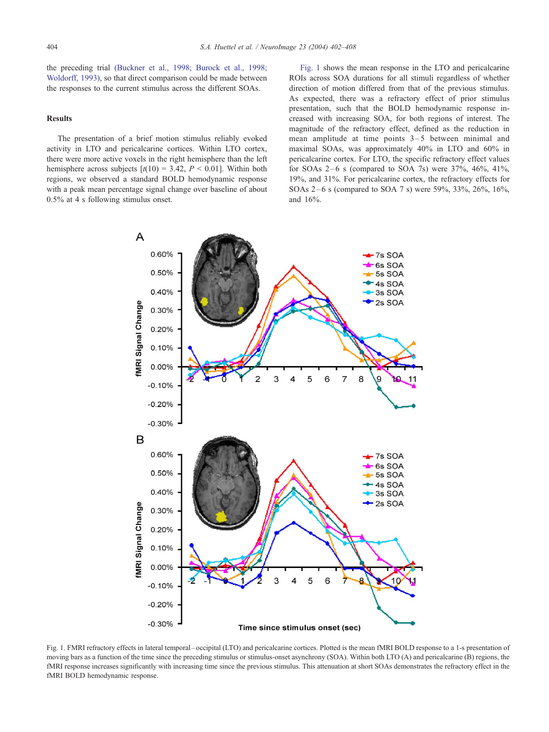the preceding trial [\(Buckner et al., 1998; Burock et al., 1998;](#page-5-0) Woldorff, 1993), so that direct comparison could be made between the responses to the current stimulus across the different SOAs.

## Results

The presentation of a brief motion stimulus reliably evoked activity in LTO and pericalcarine cortices. Within LTO cortex, there were more active voxels in the right hemisphere than the left hemisphere across subjects  $[t(10) = 3.42, P \le 0.01]$ . Within both regions, we observed a standard BOLD hemodynamic response with a peak mean percentage signal change over baseline of about 0.5% at 4 s following stimulus onset.

Fig. 1 shows the mean response in the LTO and pericalcarine ROIs across SOA durations for all stimuli regardless of whether direction of motion differed from that of the previous stimulus. As expected, there was a refractory effect of prior stimulus presentation, such that the BOLD hemodynamic response increased with increasing SOA, for both regions of interest. The magnitude of the refractory effect, defined as the reduction in mean amplitude at time points  $3-5$  between minimal and maximal SOAs, was approximately 40% in LTO and 60% in pericalcarine cortex. For LTO, the specific refractory effect values for SOAs  $2-6$  s (compared to SOA 7s) were  $37\%$ ,  $46\%$ ,  $41\%$ , 19%, and 31%. For pericalcarine cortex, the refractory effects for SOAs 2 – 6 s (compared to SOA 7 s) were 59%, 33%, 26%, 16%, and 16%.



Fig. 1. FMRI refractory effects in lateral temporal – occipital (LTO) and pericalcarine cortices. Plotted is the mean fMRI BOLD response to a 1-s presentation of moving bars as a function of the time since the preceding stimulus or stimulus-onset asynchrony (SOA). Within both LTO (A) and pericalcarine (B) regions, the fMRI response increases significantly with increasing time since the previous stimulus. This attenuation at short SOAs demonstrates the refractory effect in the fMRI BOLD hemodynamic response.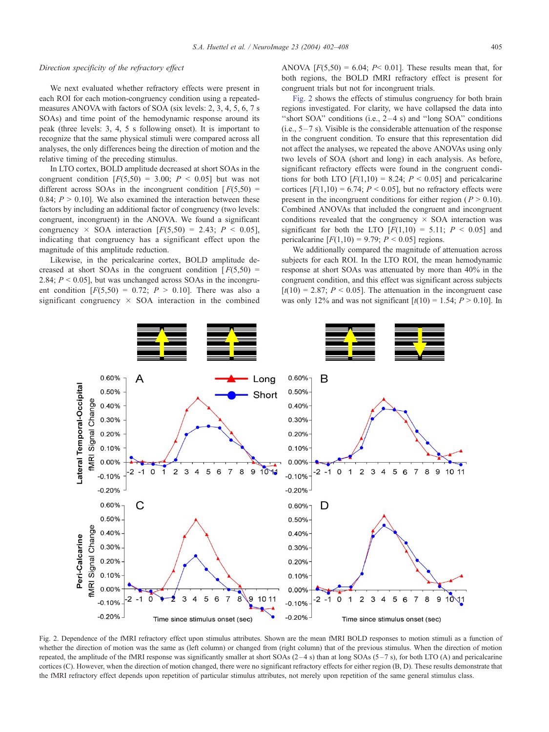#### Direction specificity of the refractory effect

We next evaluated whether refractory effects were present in each ROI for each motion-congruency condition using a repeatedmeasures ANOVA with factors of SOA (six levels: 2, 3, 4, 5, 6, 7 s SOAs) and time point of the hemodynamic response around its peak (three levels: 3, 4, 5 s following onset). It is important to recognize that the same physical stimuli were compared across all analyses, the only differences being the direction of motion and the relative timing of the preceding stimulus.

In LTO cortex, BOLD amplitude decreased at short SOAs in the congruent condition  $[F(5,50) = 3.00; P < 0.05]$  but was not different across SOAs in the incongruent condition  $F(5,50) =$ 0.84;  $P > 0.10$ ]. We also examined the interaction between these factors by including an additional factor of congruency (two levels: congruent, incongruent) in the ANOVA. We found a significant congruency  $\times$  SOA interaction  $[F(5,50) = 2.43; P \le 0.05]$ , indicating that congruency has a significant effect upon the magnitude of this amplitude reduction.

Likewise, in the pericalcarine cortex, BOLD amplitude decreased at short SOAs in the congruent condition  $[F(5,50) =$ 2.84;  $P \le 0.05$ ], but was unchanged across SOAs in the incongruent condition  $[F(5,50) = 0.72; P > 0.10]$ . There was also a significant congruency  $\times$  SOA interaction in the combined

ANOVA  $[F(5,50) = 6.04; P \le 0.01]$ . These results mean that, for both regions, the BOLD fMRI refractory effect is present for congruent trials but not for incongruent trials.

Fig. 2 shows the effects of stimulus congruency for both brain regions investigated. For clarity, we have collapsed the data into "short SOA" conditions (i.e.,  $2-4$  s) and "long SOA" conditions  $(i.e., 5-7 s)$ . Visible is the considerable attenuation of the response in the congruent condition. To ensure that this representation did not affect the analyses, we repeated the above ANOVAs using only two levels of SOA (short and long) in each analysis. As before, significant refractory effects were found in the congruent conditions for both LTO  $[F(1,10) = 8.24; P \le 0.05]$  and pericalcarine cortices  $[F(1,10) = 6.74; P \le 0.05]$ , but no refractory effects were present in the incongruent conditions for either region ( $P > 0.10$ ). Combined ANOVAs that included the congruent and incongruent conditions revealed that the congruency  $\times$  SOA interaction was significant for both the LTO  $[F(1,10) = 5.11; P \le 0.05]$  and pericalcarine  $[F(1,10) = 9.79; P < 0.05]$  regions.

We additionally compared the magnitude of attenuation across subjects for each ROI. In the LTO ROI, the mean hemodynamic response at short SOAs was attenuated by more than 40% in the congruent condition, and this effect was significant across subjects  $[t(10) = 2.87; P < 0.05]$ . The attenuation in the incongruent case was only 12% and was not significant  $[t(10) = 1.54; P > 0.10]$ . In



Fig. 2. Dependence of the fMRI refractory effect upon stimulus attributes. Shown are the mean fMRI BOLD responses to motion stimuli as a function of whether the direction of motion was the same as (left column) or changed from (right column) that of the previous stimulus. When the direction of motion repeated, the amplitude of the fMRI response was significantly smaller at short SOAs  $(2-4 s)$  than at long SOAs  $(5-7 s)$ , for both LTO (A) and pericalcarine cortices (C). However, when the direction of motion changed, there were no significant refractory effects for either region (B, D). These results demonstrate that the fMRI refractory effect depends upon repetition of particular stimulus attributes, not merely upon repetition of the same general stimulus class.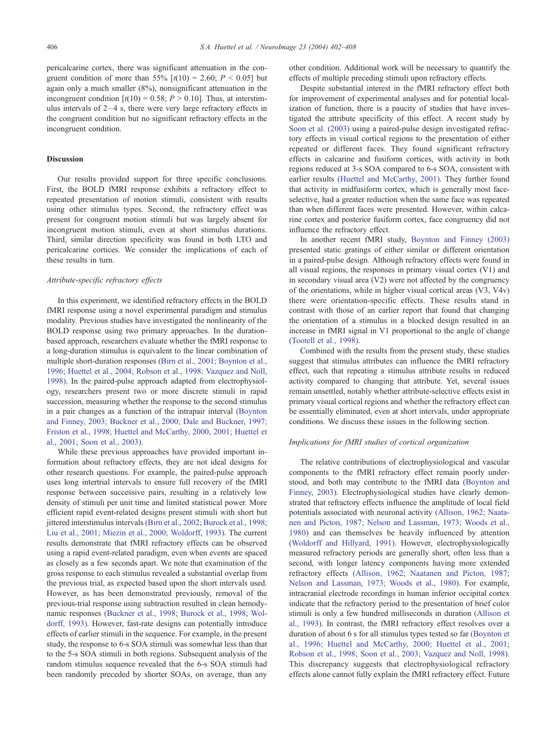pericalcarine cortex, there was significant attenuation in the congruent condition of more than 55%  $[t(10) = 2.60; P < 0.05]$  but again only a much smaller (8%), nonsignificant attenuation in the incongruent condition  $[t(10) = 0.58; P > 0.10]$ . Thus, at interstimulus intervals of  $2-4$  s, there were very large refractory effects in the congruent condition but no significant refractory effects in the incongruent condition.

#### Discussion

Our results provided support for three specific conclusions. First, the BOLD fMRI response exhibits a refractory effect to repeated presentation of motion stimuli, consistent with results using other stimulus types. Second, the refractory effect was present for congruent motion stimuli but was largely absent for incongruent motion stimuli, even at short stimulus durations. Third, similar direction specificity was found in both LTO and pericalcarine cortices. We consider the implications of each of these results in turn.

#### Attribute-specific refractory effects

In this experiment, we identified refractory effects in the BOLD fMRI response using a novel experimental paradigm and stimulus modality. Previous studies have investigated the nonlinearity of the BOLD response using two primary approaches. In the durationbased approach, researchers evaluate whether the fMRI response to a long-duration stimulus is equivalent to the linear combination of multiple short-duration responses [\(Birn et al., 2001; Boynton et al.,](#page-5-0) 1996; Huettel et al., 2004; Robson et al., 1998; Vazquez and Noll, 1998). In the paired-pulse approach adapted from electrophysiology, researchers present two or more discrete stimuli in rapid succession, measuring whether the response to the second stimulus in a pair changes as a function of the intrapair interval [\(Boynton](#page-5-0) and Finney, 2003; Buckner et al., 2000; Dale and Buckner, 1997; Friston et al., 1998; Huettel and McCarthy, 2000, 2001; Huettel et al., 2001; Soon et al., 2003).

While these previous approaches have provided important information about refractory effects, they are not ideal designs for other research questions. For example, the paired-pulse approach uses long intertrial intervals to ensure full recovery of the fMRI response between successive pairs, resulting in a relatively low density of stimuli per unit time and limited statistical power. More efficient rapid event-related designs present stimuli with short but jittered interstimulus intervals [\(Birn et al., 2002; Burock et al., 1998;](#page-5-0) Liu et al., 2001; Miezin et al., 2000; Woldorff, 1993). The current results demonstrate that fMRI refractory effects can be observed using a rapid event-related paradigm, even when events are spaced as closely as a few seconds apart. We note that examination of the gross response to each stimulus revealed a substantial overlap from the previous trial, as expected based upon the short intervals used. However, as has been demonstrated previously, removal of the previous-trial response using subtraction resulted in clean hemodynamic responses [\(Buckner et al., 1998; Burock et al., 1998; Wol](#page-5-0)dorff, 1993). However, fast-rate designs can potentially introduce effects of earlier stimuli in the sequence. For example, in the present study, the response to 6-s SOA stimuli was somewhat less than that to the 5-s SOA stimuli in both regions. Subsequent analysis of the random stimulus sequence revealed that the 6-s SOA stimuli had been randomly preceded by shorter SOAs, on average, than any

other condition. Additional work will be necessary to quantify the effects of multiple preceding stimuli upon refractory effects.

Despite substantial interest in the fMRI refractory effect both for improvement of experimental analyses and for potential localization of function, there is a paucity of studies that have investigated the attribute specificity of this effect. A recent study by [Soon et al. \(2003\)](#page-6-0) using a paired-pulse design investigated refractory effects in visual cortical regions to the presentation of either repeated or different faces. They found significant refractory effects in calcarine and fusiform cortices, with activity in both regions reduced at 3-s SOA compared to 6-s SOA, consistent with earlier results [\(Huettel and McCarthy, 2001\).](#page-5-0) They further found that activity in midfusiform cortex, which is generally most faceselective, had a greater reduction when the same face was repeated than when different faces were presented. However, within calcarine cortex and posterior fusiform cortex, face congruency did not influence the refractory effect.

In another recent fMRI study, [Boynton and Finney \(2003\)](#page-5-0) presented static gratings of either similar or different orientation in a paired-pulse design. Although refractory effects were found in all visual regions, the responses in primary visual cortex (V1) and in secondary visual area (V2) were not affected by the congruency of the orientations, while in higher visual cortical areas (V3, V4v) there were orientation-specific effects. These results stand in contrast with those of an earlier report that found that changing the orientation of a stimulus in a blocked design resulted in an increase in fMRI signal in V1 proportional to the angle of change [\(Tootell et al., 1998\).](#page-6-0)

Combined with the results from the present study, these studies suggest that stimulus attributes can influence the fMRI refractory effect, such that repeating a stimulus attribute results in reduced activity compared to changing that attribute. Yet, several issues remain unsettled, notably whether attribute-selective effects exist in primary visual cortical regions and whether the refractory effect can be essentially eliminated, even at short intervals, under appropriate conditions. We discuss these issues in the following section.

#### Implications for fMRI studies of cortical organization

The relative contributions of electrophysiological and vascular components to the fMRI refractory effect remain poorly understood, and both may contribute to the fMRI data [\(Boynton and](#page-5-0) Finney, 2003). Electrophysiological studies have clearly demonstrated that refractory effects influence the amplitude of local field potentials associated with neuronal activity [\(Allison, 1962; Naata](#page-5-0)nen and Picton, 1987; Nelson and Lassman, 1973; Woods et al., 1980) and can themselves be heavily influenced by attention [\(Woldorff and Hillyard, 1991\).](#page-6-0) However, electrophysiologically measured refractory periods are generally short, often less than a second, with longer latency components having more extended refractory effects [\(Allison, 1962; Naatanen and Picton, 1987;](#page-5-0) Nelson and Lassman, 1973; Woods et al., 1980). For example, intracranial electrode recordings in human inferior occipital cortex indicate that the refractory period to the presentation of brief color stimuli is only a few hundred milliseconds in duration [\(Allison et](#page-5-0) al., 1993). In contrast, the fMRI refractory effect resolves over a duration of about 6 s for all stimulus types tested so far [\(Boynton et](#page-5-0) al., 1996; Huettel and McCarthy, 2000; Huettel et al., 2001; Robson et al., 1998; Soon et al., 2003; Vazquez and Noll, 1998). This discrepancy suggests that electrophysiological refractory effects alone cannot fully explain the fMRI refractory effect. Future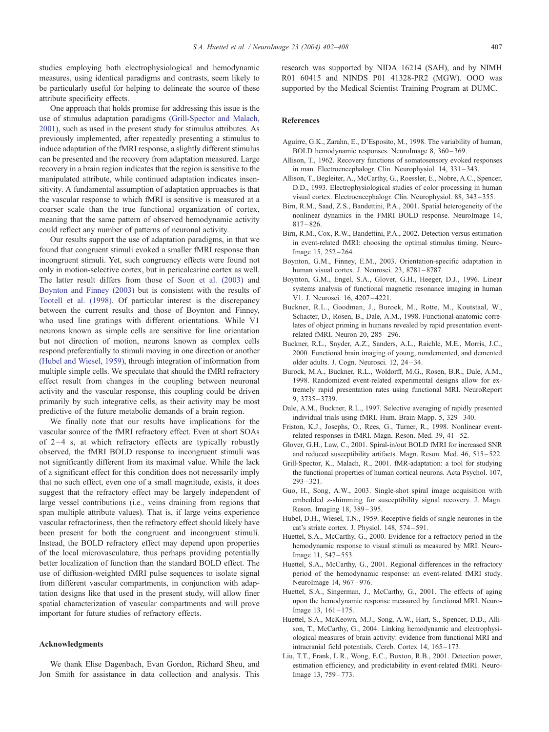<span id="page-5-0"></span>studies employing both electrophysiological and hemodynamic measures, using identical paradigms and contrasts, seem likely to be particularly useful for helping to delineate the source of these attribute specificity effects.

One approach that holds promise for addressing this issue is the use of stimulus adaptation paradigms (Grill-Spector and Malach, 2001), such as used in the present study for stimulus attributes. As previously implemented, after repeatedly presenting a stimulus to induce adaptation of the fMRI response, a slightly different stimulus can be presented and the recovery from adaptation measured. Large recovery in a brain region indicates that the region is sensitive to the manipulated attribute, while continued adaptation indicates insensitivity. A fundamental assumption of adaptation approaches is that the vascular response to which fMRI is sensitive is measured at a coarser scale than the true functional organization of cortex, meaning that the same pattern of observed hemodynamic activity could reflect any number of patterns of neuronal activity.

Our results support the use of adaptation paradigms, in that we found that congruent stimuli evoked a smaller fMRI response than incongruent stimuli. Yet, such congruency effects were found not only in motion-selective cortex, but in pericalcarine cortex as well. The latter result differs from those of [Soon et al. \(2003\)](#page-6-0) and Boynton and Finney (2003) but is consistent with the results of [Tootell et al. \(1998\).](#page-6-0) Of particular interest is the discrepancy between the current results and those of Boynton and Finney, who used line gratings with different orientations. While V1 neurons known as simple cells are sensitive for line orientation but not direction of motion, neurons known as complex cells respond preferentially to stimuli moving in one direction or another (Hubel and Wiesel, 1959), through integration of information from multiple simple cells. We speculate that should the fMRI refractory effect result from changes in the coupling between neuronal activity and the vascular response, this coupling could be driven primarily by such integrative cells, as their activity may be most predictive of the future metabolic demands of a brain region.

We finally note that our results have implications for the vascular source of the fMRI refractory effect. Even at short SOAs of  $2-4$  s, at which refractory effects are typically robustly observed, the fMRI BOLD response to incongruent stimuli was not significantly different from its maximal value. While the lack of a significant effect for this condition does not necessarily imply that no such effect, even one of a small magnitude, exists, it does suggest that the refractory effect may be largely independent of large vessel contributions (i.e., veins draining from regions that span multiple attribute values). That is, if large veins experience vascular refractoriness, then the refractory effect should likely have been present for both the congruent and incongruent stimuli. Instead, the BOLD refractory effect may depend upon properties of the local microvasculature, thus perhaps providing potentially better localization of function than the standard BOLD effect. The use of diffusion-weighted fMRI pulse sequences to isolate signal from different vascular compartments, in conjunction with adaptation designs like that used in the present study, will allow finer spatial characterization of vascular compartments and will prove important for future studies of refractory effects.

#### Acknowledgments

We thank Elise Dagenbach, Evan Gordon, Richard Sheu, and Jon Smith for assistance in data collection and analysis. This research was supported by NIDA 16214 (SAH), and by NIMH R01 60415 and NINDS P01 41328-PR2 (MGW). OOO was supported by the Medical Scientist Training Program at DUMC.

## References

- Aguirre, G.K., Zarahn, E., D'Esposito, M., 1998. The variability of human, BOLD hemodynamic responses. NeuroImage 8, 360 – 369.
- Allison, T., 1962. Recovery functions of somatosensory evoked responses in man. Electroencephalogr. Clin. Neurophysiol. 14, 331 – 343.
- Allison, T., Begleiter, A., McCarthy, G., Roessler, E., Nobre, A.C., Spencer, D.D., 1993. Electrophysiological studies of color processing in human visual cortex. Electroencephalogr. Clin. Neurophysiol. 88, 343 – 355.
- Birn, R.M., Saad, Z.S., Bandettini, P.A., 2001. Spatial heterogeneity of the nonlinear dynamics in the FMRI BOLD response. NeuroImage 14,  $817 - 826$
- Birn, R.M., Cox, R.W., Bandettini, P.A., 2002. Detection versus estimation in event-related fMRI: choosing the optimal stimulus timing. Neuro-Image 15, 252 – 264.
- Boynton, G.M., Finney, E.M., 2003. Orientation-specific adaptation in human visual cortex. J. Neurosci. 23, 8781-8787.
- Boynton, G.M., Engel, S.A., Glover, G.H., Heeger, D.J., 1996. Linear systems analysis of functional magnetic resonance imaging in human V1. J. Neurosci. 16, 4207 – 4221.
- Buckner, R.L., Goodman, J., Burock, M., Rotte, M., Koutstaal, W., Schacter, D., Rosen, B., Dale, A.M., 1998. Functional-anatomic correlates of object priming in humans revealed by rapid presentation eventrelated fMRI. Neuron 20, 285 – 296.
- Buckner, R.L., Snyder, A.Z., Sanders, A.L., Raichle, M.E., Morris, J.C., 2000. Functional brain imaging of young, nondemented, and demented older adults. J. Cogn. Neurosci. 12, 24 – 34.
- Burock, M.A., Buckner, R.L., Woldorff, M.G., Rosen, B.R., Dale, A.M., 1998. Randomized event-related experimental designs allow for extremely rapid presentation rates using functional MRI. NeuroReport 9, 3735 – 3739.
- Dale, A.M., Buckner, R.L., 1997. Selective averaging of rapidly presented individual trials using fMRI. Hum. Brain Mapp. 5, 329 – 340.
- Friston, K.J., Josephs, O., Rees, G., Turner, R., 1998. Nonlinear eventrelated responses in fMRI. Magn. Reson. Med. 39, 41-52.
- Glover, G.H., Law, C., 2001. Spiral-in/out BOLD fMRI for increased SNR and reduced susceptibility artifacts. Magn. Reson. Med. 46, 515 – 522.
- Grill-Spector, K., Malach, R., 2001. fMR-adaptation: a tool for studying the functional properties of human cortical neurons. Acta Psychol. 107,  $293 - 321$
- Guo, H., Song, A.W., 2003. Single-shot spiral image acquisition with embedded z-shimming for susceptibility signal recovery. J. Magn. Reson. Imaging 18, 389 – 395.
- Hubel, D.H., Wiesel, T.N., 1959. Receptive fields of single neurones in the cat's striate cortex. J. Physiol. 148, 574 – 591.
- Huettel, S.A., McCarthy, G., 2000. Evidence for a refractory period in the hemodynamic response to visual stimuli as measured by MRI. Neuro-Image 11, 547 – 553.
- Huettel, S.A., McCarthy, G., 2001. Regional differences in the refractory period of the hemodynamic response: an event-related fMRI study. NeuroImage 14, 967 – 976.
- Huettel, S.A., Singerman, J., McCarthy, G., 2001. The effects of aging upon the hemodynamic response measured by functional MRI. Neuro-Image 13, 161 – 175.
- Huettel, S.A., McKeown, M.J., Song, A.W., Hart, S., Spencer, D.D., Allison, T., McCarthy, G., 2004. Linking hemodynamic and electrophysiological measures of brain activity: evidence from functional MRI and intracranial field potentials. Cereb. Cortex 14, 165 – 173.
- Liu, T.T., Frank, L.R., Wong, E.C., Buxton, R.B., 2001. Detection power, estimation efficiency, and predictability in event-related fMRI. Neuro-Image 13, 759 – 773.